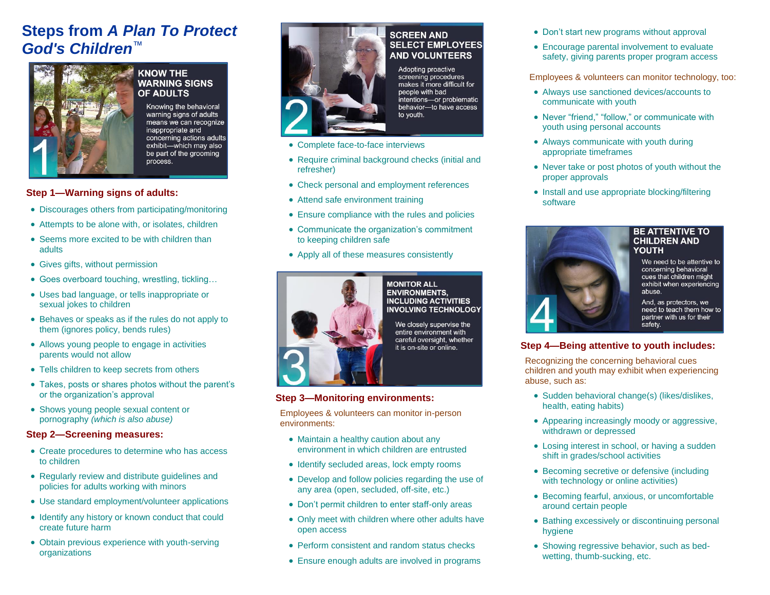# **Steps from** *A Plan To Protect God's Children*™



#### **KNOW THE WARNING SIGNS OF ADULTS**

Knowing the behavioral warning signs of adults means we can recognize inappropriate and concerning actions adults exhibit-which may also be part of the grooming process.

## **Step 1—Warning signs of adults:**

- Discourages others from participating/monitoring
- Attempts to be alone with, or isolates, children
- Seems more excited to be with children than adults
- Gives gifts, without permission
- Goes overboard touching, wrestling, tickling…
- Uses bad language, or tells inappropriate or sexual jokes to children
- Behaves or speaks as if the rules do not apply to them (ignores policy, bends rules)
- Allows young people to engage in activities parents would not allow
- Tells children to keep secrets from others
- Takes, posts or shares photos without the parent's or the organization's approval
- Shows young people sexual content or pornography *(which is also abuse)*

## **Step 2—Screening measures:**

- Create procedures to determine who has access to children
- Regularly review and distribute guidelines and policies for adults working with minors
- Use standard employment/volunteer applications
- Identify any history or known conduct that could create future harm
- Obtain previous experience with youth-serving organizations



## **SCREEN AND SELECT EMPLOYEES AND VOLUNTEERS**

Adopting proactive screening procedures makes it more difficult for people with bad intentions-or problematic behavior-to have access to youth.

- Complete face-to-face interviews
- Require criminal background checks (initial and refresher)
- Check personal and employment references
- Attend safe environment training
- Ensure compliance with the rules and policies
- Communicate the organization's commitment to keeping children safe
- Apply all of these measures consistently



#### **MONITOR ALL ENVIRONMENTS, INCLUDING ACTIVITIES INVOLVING TECHNOLOGY**

We closely supervise the entire environment with careful oversight, whether it is on-site or online.

### **Step 3—Monitoring environments:**

Employees & volunteers can monitor in-person environments:

- Maintain a healthy caution about any environment in which children are entrusted
- Identify secluded areas, lock empty rooms
- Develop and follow policies regarding the use of any area (open, secluded, off-site, etc.)
- Don't permit children to enter staff-only areas
- Only meet with children where other adults have open access
- Perform consistent and random status checks
- Ensure enough adults are involved in programs
- Don't start new programs without approval
- Encourage parental involvement to evaluate safety, giving parents proper program access

Employees & volunteers can monitor technology, too:

- Always use sanctioned devices/accounts to communicate with youth
- Never "friend," "follow," or communicate with youth using personal accounts
- Always communicate with youth during appropriate timeframes
- Never take or post photos of youth without the proper approvals
- Install and use appropriate blocking/filtering software



### **BE ATTENTIVE TO CHILDREN AND YOUTH**

We need to be attentive to concerning behavioral cues that children might exhibit when experiencing abuse.

And, as protectors, we need to teach them how to partner with us for their safety.

# **Step 4—Being attentive to youth includes:**

Recognizing the concerning behavioral cues children and youth may exhibit when experiencing abuse, such as:

- Sudden behavioral change(s) (likes/dislikes, health, eating habits)
- Appearing increasingly moody or aggressive, withdrawn or depressed
- Losing interest in school, or having a sudden shift in grades/school activities
- Becoming secretive or defensive (including with technology or online activities)
- Becoming fearful, anxious, or uncomfortable around certain people
- Bathing excessively or discontinuing personal hygiene
- Showing regressive behavior, such as bedwetting, thumb-sucking, etc.